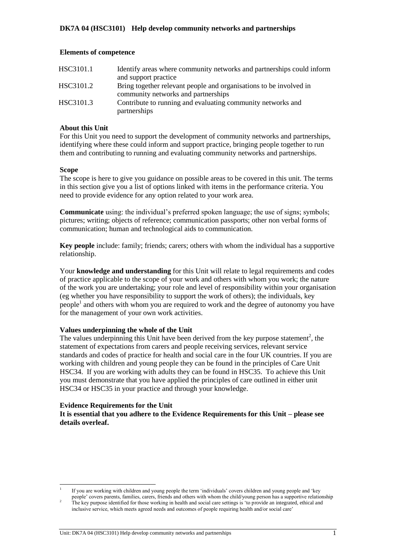## **Elements of competence**

| HSC3101.1 | Identify areas where community networks and partnerships could inform                                     |
|-----------|-----------------------------------------------------------------------------------------------------------|
|           | and support practice                                                                                      |
| HSC3101.2 | Bring together relevant people and organisations to be involved in<br>community networks and partnerships |
|           |                                                                                                           |
| HSC3101.3 | Contribute to running and evaluating community networks and                                               |
|           | partnerships                                                                                              |

## **About this Unit**

For this Unit you need to support the development of community networks and partnerships, identifying where these could inform and support practice, bringing people together to run them and contributing to running and evaluating community networks and partnerships.

## **Scope**

l

The scope is here to give you guidance on possible areas to be covered in this unit. The terms in this section give you a list of options linked with items in the performance criteria. You need to provide evidence for any option related to your work area.

**Communicate** using: the individual's preferred spoken language; the use of signs; symbols; pictures; writing; objects of reference; communication passports; other non verbal forms of communication; human and technological aids to communication.

**Key people** include: family; friends; carers; others with whom the individual has a supportive relationship.

Your **knowledge and understanding** for this Unit will relate to legal requirements and codes of practice applicable to the scope of your work and others with whom you work; the nature of the work you are undertaking; your role and level of responsibility within your organisation (eg whether you have responsibility to support the work of others); the individuals, key people<sup>1</sup> and others with whom you are required to work and the degree of autonomy you have for the management of your own work activities.

## **Values underpinning the whole of the Unit**

The values underpinning this Unit have been derived from the key purpose statement<sup>2</sup>, the statement of expectations from carers and people receiving services, relevant service standards and codes of practice for health and social care in the four UK countries. If you are working with children and young people they can be found in the principles of Care Unit HSC34. If you are working with adults they can be found in HSC35. To achieve this Unit you must demonstrate that you have applied the principles of care outlined in either unit HSC34 or HSC35 in your practice and through your knowledge.

## **Evidence Requirements for the Unit**

**It is essential that you adhere to the Evidence Requirements for this Unit – please see details overleaf.** 

<sup>1</sup> If you are working with children and young people the term 'individuals' covers children and young people and 'key people' covers parents, families, carers, friends and others with whom the child/young person has a supportive relationship

 $2<sup>2</sup>$  The key purpose identified for those working in health and social care settings is 'to provide an integrated, ethical and inclusive service, which meets agreed needs and outcomes of people requiring health and/or social care'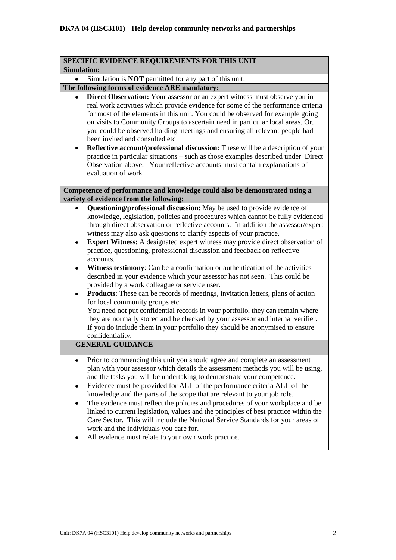|                    | SPECIFIC EVIDENCE REQUIREMENTS FOR THIS UNIT                                                                                                                                                                                                                                                                                                                                                                                                                                                                                                                                                                                                                                                                                                                                                                                                                                                                                                                                                                                                                                                                                   |
|--------------------|--------------------------------------------------------------------------------------------------------------------------------------------------------------------------------------------------------------------------------------------------------------------------------------------------------------------------------------------------------------------------------------------------------------------------------------------------------------------------------------------------------------------------------------------------------------------------------------------------------------------------------------------------------------------------------------------------------------------------------------------------------------------------------------------------------------------------------------------------------------------------------------------------------------------------------------------------------------------------------------------------------------------------------------------------------------------------------------------------------------------------------|
| <b>Simulation:</b> |                                                                                                                                                                                                                                                                                                                                                                                                                                                                                                                                                                                                                                                                                                                                                                                                                                                                                                                                                                                                                                                                                                                                |
|                    | Simulation is <b>NOT</b> permitted for any part of this unit.                                                                                                                                                                                                                                                                                                                                                                                                                                                                                                                                                                                                                                                                                                                                                                                                                                                                                                                                                                                                                                                                  |
|                    | The following forms of evidence ARE mandatory:                                                                                                                                                                                                                                                                                                                                                                                                                                                                                                                                                                                                                                                                                                                                                                                                                                                                                                                                                                                                                                                                                 |
|                    | Direct Observation: Your assessor or an expert witness must observe you in<br>real work activities which provide evidence for some of the performance criteria<br>for most of the elements in this unit. You could be observed for example going<br>on visits to Community Groups to ascertain need in particular local areas. Or,<br>you could be observed holding meetings and ensuring all relevant people had<br>been invited and consulted etc<br>Reflective account/professional discussion: These will be a description of your<br>practice in particular situations - such as those examples described under Direct<br>Observation above. Your reflective accounts must contain explanations of<br>evaluation of work                                                                                                                                                                                                                                                                                                                                                                                                  |
|                    | Competence of performance and knowledge could also be demonstrated using a<br>variety of evidence from the following:                                                                                                                                                                                                                                                                                                                                                                                                                                                                                                                                                                                                                                                                                                                                                                                                                                                                                                                                                                                                          |
| ٠<br>$\bullet$     | Questioning/professional discussion: May be used to provide evidence of<br>knowledge, legislation, policies and procedures which cannot be fully evidenced<br>through direct observation or reflective accounts. In addition the assessor/expert<br>witness may also ask questions to clarify aspects of your practice.<br><b>Expert Witness:</b> A designated expert witness may provide direct observation of<br>practice, questioning, professional discussion and feedback on reflective<br>accounts.<br>Witness testimony: Can be a confirmation or authentication of the activities<br>described in your evidence which your assessor has not seen. This could be<br>provided by a work colleague or service user.<br><b>Products:</b> These can be records of meetings, invitation letters, plans of action<br>for local community groups etc.<br>You need not put confidential records in your portfolio, they can remain where<br>they are normally stored and be checked by your assessor and internal verifier.<br>If you do include them in your portfolio they should be anonymised to ensure<br>confidentiality. |
|                    | <b>GENERAL GUIDANCE</b>                                                                                                                                                                                                                                                                                                                                                                                                                                                                                                                                                                                                                                                                                                                                                                                                                                                                                                                                                                                                                                                                                                        |
| ٠                  | Prior to commencing this unit you should agree and complete an assessment<br>plan with your assessor which details the assessment methods you will be using,<br>and the tasks you will be undertaking to demonstrate your competence.<br>Evidence must be provided for ALL of the performance criteria ALL of the<br>knowledge and the parts of the scope that are relevant to your job role.<br>The evidence must reflect the policies and procedures of your workplace and be<br>linked to current legislation, values and the principles of best practice within the<br>Care Sector. This will include the National Service Standards for your areas of<br>work and the individuals you care for.<br>All evidence must relate to your own work practice.                                                                                                                                                                                                                                                                                                                                                                    |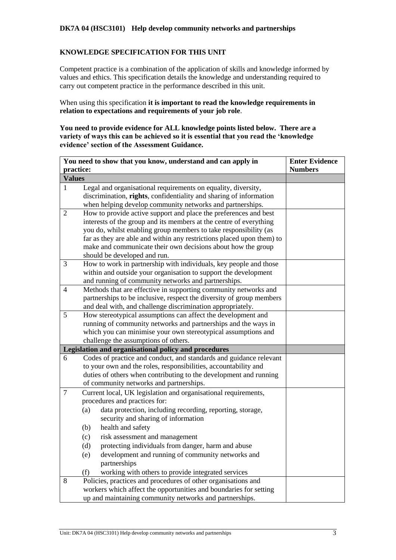## **DK7A 04 (HSC3101) Help develop community networks and partnerships**

## **KNOWLEDGE SPECIFICATION FOR THIS UNIT**

Competent practice is a combination of the application of skills and knowledge informed by values and ethics. This specification details the knowledge and understanding required to carry out competent practice in the performance described in this unit.

When using this specification **it is important to read the knowledge requirements in relation to expectations and requirements of your job role**.

**You need to provide evidence for ALL knowledge points listed below. There are a variety of ways this can be achieved so it is essential that you read the 'knowledge evidence' section of the Assessment Guidance.**

|               | You need to show that you know, understand and can apply in                                                            | <b>Enter Evidence</b> |
|---------------|------------------------------------------------------------------------------------------------------------------------|-----------------------|
| practice:     |                                                                                                                        | <b>Numbers</b>        |
| <b>Values</b> |                                                                                                                        |                       |
| 1             | Legal and organisational requirements on equality, diversity,                                                          |                       |
|               | discrimination, rights, confidentiality and sharing of information                                                     |                       |
|               | when helping develop community networks and partnerships.                                                              |                       |
| 2             | How to provide active support and place the preferences and best                                                       |                       |
|               | interests of the group and its members at the centre of everything                                                     |                       |
|               | you do, whilst enabling group members to take responsibility (as                                                       |                       |
|               | far as they are able and within any restrictions placed upon them) to                                                  |                       |
|               | make and communicate their own decisions about how the group                                                           |                       |
|               | should be developed and run.                                                                                           |                       |
| 3             | How to work in partnership with individuals, key people and those                                                      |                       |
|               | within and outside your organisation to support the development                                                        |                       |
| 4             | and running of community networks and partnerships.<br>Methods that are effective in supporting community networks and |                       |
|               | partnerships to be inclusive, respect the diversity of group members                                                   |                       |
|               | and deal with, and challenge discrimination appropriately.                                                             |                       |
| 5             | How stereotypical assumptions can affect the development and                                                           |                       |
|               | running of community networks and partnerships and the ways in                                                         |                       |
|               | which you can minimise your own stereotypical assumptions and                                                          |                       |
|               | challenge the assumptions of others.                                                                                   |                       |
|               | Legislation and organisational policy and procedures                                                                   |                       |
| 6             | Codes of practice and conduct, and standards and guidance relevant                                                     |                       |
|               | to your own and the roles, responsibilities, accountability and                                                        |                       |
|               | duties of others when contributing to the development and running                                                      |                       |
|               | of community networks and partnerships.                                                                                |                       |
| $\tau$        | Current local, UK legislation and organisational requirements,                                                         |                       |
|               | procedures and practices for:                                                                                          |                       |
|               | data protection, including recording, reporting, storage,<br>(a)                                                       |                       |
|               | security and sharing of information                                                                                    |                       |
|               | health and safety<br>(b)                                                                                               |                       |
|               | risk assessment and management<br>(c)                                                                                  |                       |
|               | protecting individuals from danger, harm and abuse<br>(d)                                                              |                       |
|               | development and running of community networks and<br>(e)                                                               |                       |
|               | partnerships                                                                                                           |                       |
|               | working with others to provide integrated services<br>(f)                                                              |                       |
| 8             | Policies, practices and procedures of other organisations and                                                          |                       |
|               | workers which affect the opportunities and boundaries for setting                                                      |                       |
|               | up and maintaining community networks and partnerships.                                                                |                       |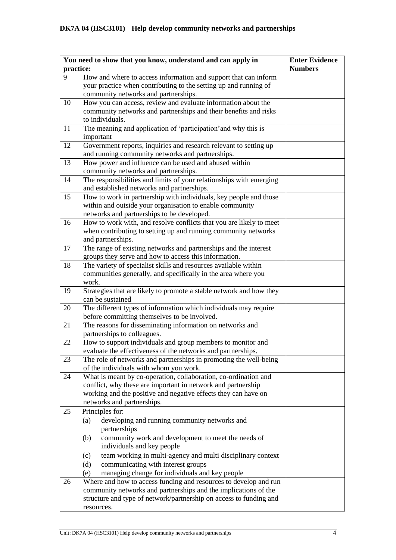|           | You need to show that you know, understand and can apply in                                                       | <b>Enter Evidence</b> |
|-----------|-------------------------------------------------------------------------------------------------------------------|-----------------------|
| practice: |                                                                                                                   | <b>Numbers</b>        |
| 9         | How and where to access information and support that can inform                                                   |                       |
|           | your practice when contributing to the setting up and running of                                                  |                       |
|           | community networks and partnerships.                                                                              |                       |
| 10        | How you can access, review and evaluate information about the                                                     |                       |
|           | community networks and partnerships and their benefits and risks                                                  |                       |
|           | to individuals.                                                                                                   |                       |
| 11        | The meaning and application of 'participation' and why this is                                                    |                       |
|           | important                                                                                                         |                       |
| 12        | Government reports, inquiries and research relevant to setting up                                                 |                       |
|           | and running community networks and partnerships.                                                                  |                       |
| 13        | How power and influence can be used and abused within                                                             |                       |
|           | community networks and partnerships.                                                                              |                       |
| 14        | The responsibilities and limits of your relationships with emerging                                               |                       |
|           | and established networks and partnerships.                                                                        |                       |
| 15        | How to work in partnership with individuals, key people and those                                                 |                       |
|           | within and outside your organisation to enable community                                                          |                       |
| 16        | networks and partnerships to be developed.<br>How to work with, and resolve conflicts that you are likely to meet |                       |
|           | when contributing to setting up and running community networks                                                    |                       |
|           | and partnerships.                                                                                                 |                       |
| 17        | The range of existing networks and partnerships and the interest                                                  |                       |
|           | groups they serve and how to access this information.                                                             |                       |
| 18        | The variety of specialist skills and resources available within                                                   |                       |
|           | communities generally, and specifically in the area where you                                                     |                       |
|           | work.                                                                                                             |                       |
| 19        | Strategies that are likely to promote a stable network and how they                                               |                       |
|           | can be sustained                                                                                                  |                       |
| 20        | The different types of information which individuals may require                                                  |                       |
|           | before committing themselves to be involved.                                                                      |                       |
| 21        | The reasons for disseminating information on networks and                                                         |                       |
|           | partnerships to colleagues.                                                                                       |                       |
| 22        | How to support individuals and group members to monitor and                                                       |                       |
|           | evaluate the effectiveness of the networks and partnerships.                                                      |                       |
| 23        | The role of networks and partnerships in promoting the well-being                                                 |                       |
|           | of the individuals with whom you work.                                                                            |                       |
| 24        | What is meant by co-operation, collaboration, co-ordination and                                                   |                       |
|           | conflict, why these are important in network and partnership                                                      |                       |
|           | working and the positive and negative effects they can have on                                                    |                       |
|           | networks and partnerships.                                                                                        |                       |
| 25        | Principles for:                                                                                                   |                       |
|           | developing and running community networks and<br>(a)                                                              |                       |
|           | partnerships                                                                                                      |                       |
|           | community work and development to meet the needs of<br>(b)                                                        |                       |
|           | individuals and key people                                                                                        |                       |
|           | team working in multi-agency and multi disciplinary context<br>(c)                                                |                       |
|           | communicating with interest groups<br>(d)                                                                         |                       |
|           | managing change for individuals and key people<br>(e)                                                             |                       |
| 26        | Where and how to access funding and resources to develop and run                                                  |                       |
|           | community networks and partnerships and the implications of the                                                   |                       |
|           | structure and type of network/partnership on access to funding and                                                |                       |
|           | resources.                                                                                                        |                       |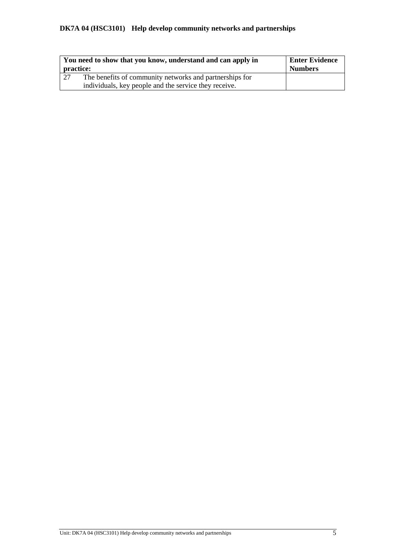## **DK7A 04 (HSC3101) Help develop community networks and partnerships**

| practice: | You need to show that you know, understand and can apply in | Enter Evidence<br><b>Numbers</b> |
|-----------|-------------------------------------------------------------|----------------------------------|
| 27        | The benefits of community networks and partnerships for     |                                  |
|           | individuals, key people and the service they receive.       |                                  |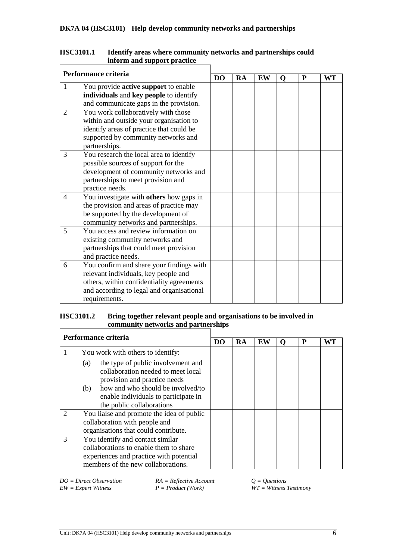|   | Performance criteria                      |                |           |           |   |           |    |
|---|-------------------------------------------|----------------|-----------|-----------|---|-----------|----|
|   |                                           | D <sub>O</sub> | <b>RA</b> | <b>EW</b> | O | ${\bf P}$ | WT |
| 1 | You provide active support to enable      |                |           |           |   |           |    |
|   | individuals and key people to identify    |                |           |           |   |           |    |
|   | and communicate gaps in the provision.    |                |           |           |   |           |    |
| 2 | You work collaboratively with those       |                |           |           |   |           |    |
|   | within and outside your organisation to   |                |           |           |   |           |    |
|   | identify areas of practice that could be  |                |           |           |   |           |    |
|   | supported by community networks and       |                |           |           |   |           |    |
|   | partnerships.                             |                |           |           |   |           |    |
| 3 | You research the local area to identify   |                |           |           |   |           |    |
|   | possible sources of support for the       |                |           |           |   |           |    |
|   | development of community networks and     |                |           |           |   |           |    |
|   | partnerships to meet provision and        |                |           |           |   |           |    |
|   | practice needs.                           |                |           |           |   |           |    |
| 4 | You investigate with others how gaps in   |                |           |           |   |           |    |
|   | the provision and areas of practice may   |                |           |           |   |           |    |
|   | be supported by the development of        |                |           |           |   |           |    |
|   | community networks and partnerships.      |                |           |           |   |           |    |
| 5 | You access and review information on      |                |           |           |   |           |    |
|   | existing community networks and           |                |           |           |   |           |    |
|   | partnerships that could meet provision    |                |           |           |   |           |    |
|   | and practice needs.                       |                |           |           |   |           |    |
| 6 | You confirm and share your findings with  |                |           |           |   |           |    |
|   | relevant individuals, key people and      |                |           |           |   |           |    |
|   | others, within confidentiality agreements |                |           |           |   |           |    |
|   | and according to legal and organisational |                |           |           |   |           |    |
|   | requirements.                             |                |           |           |   |           |    |

#### **HSC3101.1 Identify areas where community networks and partnerships could inform and support practice**  $\mathbf{r}$

# **HSC3101.2 Bring together relevant people and organisations to be involved in community networks and partnerships**

|               | Performance criteria                                                                                                                                                                                                             |  |    |    |   |    |
|---------------|----------------------------------------------------------------------------------------------------------------------------------------------------------------------------------------------------------------------------------|--|----|----|---|----|
|               |                                                                                                                                                                                                                                  |  | RA | EW | P | WT |
|               | You work with others to identify:                                                                                                                                                                                                |  |    |    |   |    |
|               | the type of public involvement and<br>(a)<br>collaboration needed to meet local<br>provision and practice needs<br>how and who should be involved/to<br>(b)<br>enable individuals to participate in<br>the public collaborations |  |    |    |   |    |
|               | You liaise and promote the idea of public<br>collaboration with people and<br>organisations that could contribute.                                                                                                               |  |    |    |   |    |
| $\mathcal{R}$ | You identify and contact similar<br>collaborations to enable them to share<br>experiences and practice with potential<br>members of the new collaborations.                                                                      |  |    |    |   |    |

*DO* = Direct Observation *RA* = Reflective Account *Q* = Questions *EW* = Expert Witness *P* = Product (Work) *WT* = Witness *WT* 

 $\overline{WT} = \overline{W}$  *Witness Testimony*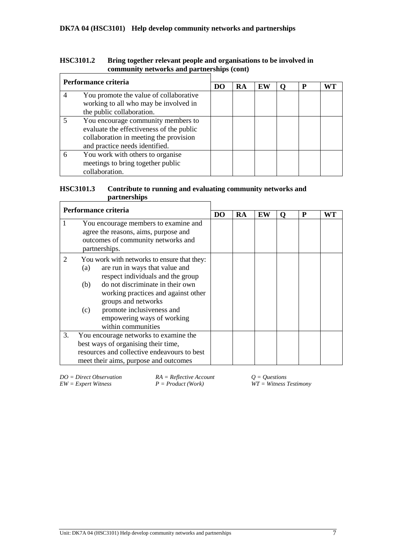| <b>HSC3101.2</b> | Bring together relevant people and organisations to be involved in |
|------------------|--------------------------------------------------------------------|
|                  | community networks and partnerships (cont)                         |
|                  |                                                                    |

|   | Performance criteria                     |  |    |    |   |    |
|---|------------------------------------------|--|----|----|---|----|
|   |                                          |  | RA | EW | P | WТ |
|   | You promote the value of collaborative   |  |    |    |   |    |
|   | working to all who may be involved in    |  |    |    |   |    |
|   | the public collaboration.                |  |    |    |   |    |
|   | You encourage community members to       |  |    |    |   |    |
|   | evaluate the effectiveness of the public |  |    |    |   |    |
|   | collaboration in meeting the provision   |  |    |    |   |    |
|   | and practice needs identified.           |  |    |    |   |    |
| 6 | You work with others to organise         |  |    |    |   |    |
|   | meetings to bring together public        |  |    |    |   |    |
|   | collaboration.                           |  |    |    |   |    |

#### **HSC3101.3 Contribute to running and evaluating community networks and partnerships**  $\overline{1}$  $\overline{\mathbf{1}}$

|    | Performance criteria                                                                                                                |                                                                                                                                                                                                                                                                                                       |    |    |    |   |   |    |
|----|-------------------------------------------------------------------------------------------------------------------------------------|-------------------------------------------------------------------------------------------------------------------------------------------------------------------------------------------------------------------------------------------------------------------------------------------------------|----|----|----|---|---|----|
|    |                                                                                                                                     |                                                                                                                                                                                                                                                                                                       | DO | RA | EW | o | P | WT |
| 1  | You encourage members to examine and<br>agree the reasons, aims, purpose and<br>outcomes of community networks and<br>partnerships. |                                                                                                                                                                                                                                                                                                       |    |    |    |   |   |    |
|    | (a)<br>(b)<br>(c)                                                                                                                   | You work with networks to ensure that they:<br>are run in ways that value and<br>respect individuals and the group<br>do not discriminate in their own<br>working practices and against other<br>groups and networks<br>promote inclusiveness and<br>empowering ways of working<br>within communities |    |    |    |   |   |    |
| 3. |                                                                                                                                     | You encourage networks to examine the<br>best ways of organising their time,<br>resources and collective endeavours to best<br>meet their aims, purpose and outcomes                                                                                                                                  |    |    |    |   |   |    |

*DO = Direct Observation*  $RA = \text{Reflective Account}$ <br> $EW = \text{Expert Witness}$   $P = \text{Product (Work)}$ 

*EW = Expert Witness P = Product (Work) WT = Witness Testimony*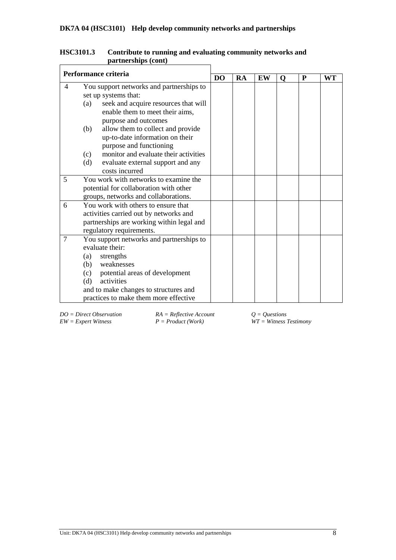|                | Performance criteria                         |  |    |    |          |   |    |
|----------------|----------------------------------------------|--|----|----|----------|---|----|
|                |                                              |  | RA | EW | $\Omega$ | P | WT |
| $\overline{4}$ | You support networks and partnerships to     |  |    |    |          |   |    |
|                | set up systems that:                         |  |    |    |          |   |    |
|                | seek and acquire resources that will<br>(a)  |  |    |    |          |   |    |
|                | enable them to meet their aims,              |  |    |    |          |   |    |
|                | purpose and outcomes                         |  |    |    |          |   |    |
|                | allow them to collect and provide<br>(b)     |  |    |    |          |   |    |
|                | up-to-date information on their              |  |    |    |          |   |    |
|                | purpose and functioning                      |  |    |    |          |   |    |
|                | monitor and evaluate their activities<br>(c) |  |    |    |          |   |    |
|                | (d)<br>evaluate external support and any     |  |    |    |          |   |    |
|                | costs incurred                               |  |    |    |          |   |    |
| 5              | You work with networks to examine the        |  |    |    |          |   |    |
|                | potential for collaboration with other       |  |    |    |          |   |    |
|                | groups, networks and collaborations.         |  |    |    |          |   |    |
| 6              | You work with others to ensure that          |  |    |    |          |   |    |
|                | activities carried out by networks and       |  |    |    |          |   |    |
|                | partnerships are working within legal and    |  |    |    |          |   |    |
|                | regulatory requirements.                     |  |    |    |          |   |    |
| 7              | You support networks and partnerships to     |  |    |    |          |   |    |
|                | evaluate their:                              |  |    |    |          |   |    |
|                | strengths<br>(a)                             |  |    |    |          |   |    |
|                | weaknesses<br>(b)                            |  |    |    |          |   |    |
|                | (c) potential areas of development           |  |    |    |          |   |    |
|                | activities<br>(d)                            |  |    |    |          |   |    |
|                | and to make changes to structures and        |  |    |    |          |   |    |
|                | practices to make them more effective        |  |    |    |          |   |    |

| <b>HSC3101.3</b> | Contribute to running and evaluating community networks and |
|------------------|-------------------------------------------------------------|
|                  | partnerships (cont)                                         |
|                  |                                                             |

*DO = Direct Observation RA = Reflective Account Q = Questions EW = Expert Witness P = Product (Work) WT = Witness Testimony*